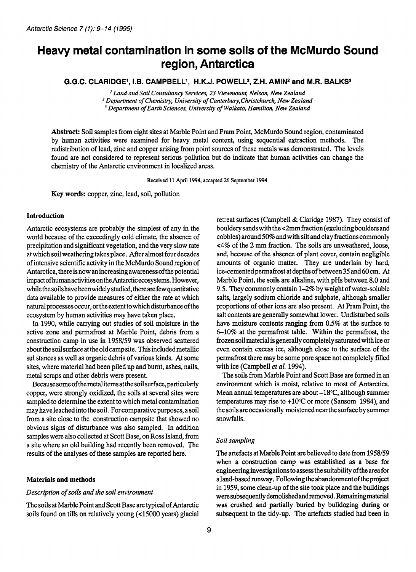# **Heavy metal contamination in some soils of the McMurdo Sound reg ion, Antarctica**

G.G.C. CLARIDGE', I.B. CAMPBELL', H.K.J. POWELL<sup>2</sup>, Z.H. AMIN<sup>2</sup> and M.R. BALKS<sup>3</sup>

*Land and Soil Consultancy Services, 23 Viewmount, Nelson, New Zealand Department of Chemistry, University of Canterbury,Christchurch, New Zealand Department of Earth Sciences, University of Waikato, Hamilton, New Zealand* 

**Abstract: Soil** samples from eight sites at Marble Point and Pram Point, McMurdo Sound region, contaminated by human activities were examined for heavy metal content, using sequential extraction methods. The redistribution of lead, zinc and copper arising from point sources of these metals was demonstrated. The levels found are not considered to represent serious pollution but do indicate that human activities can change the chemistry of the Antarctic environment in localized areas.

**Received 11 April 1994, accepted 26 September 1994** 

**Key words:** copper, zinc, lead, soil, pollution

# **Introduction**

Antarctic ecosystems are probably the simplest of any in the world because of the exceedingly cold climate, the absence of precipitation and significant vegetation, and the very slow rate at which soil weathering takes place. After almost four decades of intensive scientific activity in the McMurdo Sound region of Antarctica, there isnow anincreasing awareness ofthe potential impact ofhuman activitiesonthe Antarcticecosystems. However, while the soils have been widely studied, there are few quantitative data available to provide measures of either the rate at which natural processes occur, or the extent to which disturbance of the ecosystem by human activities may have taken place.

In 1990, while carrying out studies of soil moisture in the active zone and permafrost at Marble Point, debris from a construction camp in use in 1958/59 was observed scattered about the soil surface at the old camp site. This included metallic sut stances as well as organic debris of various kinds. At some sites, where material had been piled up and burnt, ashes, nails, metal scraps and other debris were present.

**Becausesomeofthemetalitemsatthesoilsurface,particularly**  copper, were strongly oxidized, the soils at several sites were sampled to determine the extent to which metal contamination may have leached into the soil. For comparative purposes, a soil from a site close to the construction campsite that showed no obvious signs of disturbance was also sampled. In addition samples were also collected at Scott Base, on Ross Island, from a site where an old building had recently been removed. The results of the analyses of these samples are reported here.

#### **Materials and methods**

# *Description* **of** *soils and the soil environment*

The soils at Marble Point and Scott Base are typical of Antarctic soils found on tills on relatively young (<15000 years) glacial retreat surfaces (Campbell & Claridge 1987). They consist of bouldery sands with the <2mm fraction (excluding boulders and cobbles) around 50% and with silt and clay fractions commonly <4% of the **2** mm fraction. The soils are unweathered, loose, and, because of the absence of plant cover, contain negligible amounts of organic matter. They are underlain by hard, ice-cemented permafrost at depths of between **35** and 60 cm. At Marble Point, the soils are alkaline, with pHs between 8.0 and 9.5. They commonly contain 1-2% by weight of water-soluble salts, largely sodium chloride and sulphate, although smaller proportions of other ions are also present. At Pram Point, the salt contents are generally somewhat lower. Undisturbed soils have moisture contents ranging from 0.5% at the surface to  $6-10\%$  at the permafrost table. Within the permafrost, the frozen soil material is generally completely saturated with ice or even contain excess ice, although close to the surface of the permafrost there may be some pore space not completely filled with **ice** (Campbell *et al.* 1994).

The soils from Marble Point and Scott Base are formed in an environment which is moist, relative to most of Antarctica. Mean annual temperatures are about  $-18$ °C, although summer temperatures may rise to +1@C or more (Sansom 1984), and the soils are occasionally moistened near the surface by summer snowfalls.

# *Soil sampling*

The artefacts at Marble Point are believed to date from 1958/59 when a construction camp was established as a base for engineering investigations to assess the suitability of thearea for aland-basedrunway. Following the abandonment ofthe project in 1959, some clean-up of the site took place and the buildings were subsequently demolishedand removed. Remaining material was crushed and partially buried by bulldozing during or subsequent to the tidy-up. The artefacts studied had been in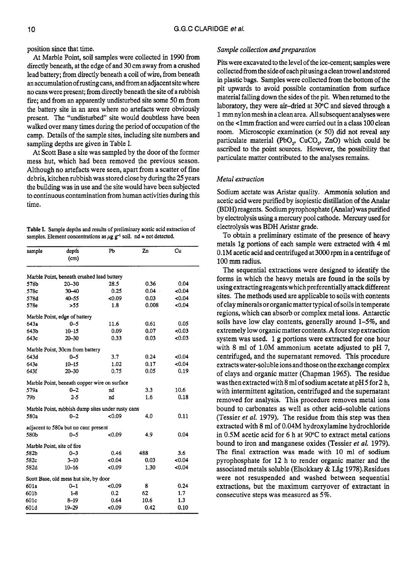position since that time.

At Marble Point, soil samples were collected in 1990 from directly beneath, at the edge of and 30 cm away from a crushed lead battery; from directly beneath a coil of wire, from beneath anaccumulationofrustingcans, and fromanadjacent sitewhere no cans were present; from directly beneath the site of a rubbish fire; and from an apparently undisturbed site some 50 m from the battery site in an area where no artefacts were obviously present. The "undisturbed" site would doubtless have been walked over many times during the period of occupation of the camp. Details of the sample sites, including site numbers and sampling depths are given in Table I.

At Scott Base a site was sampled by the door of the former mess hut, which had been removed the previous season. Although no artefacts were seen, apart from a scatter of fine debris, kitchen rubbish was stored close by during the 25 years the building was in use and the site would have been subjected to continuous contamination from human activities during this time.

**Table I. Sample depths and results of preliminary acetic acid extraction of**  samples, Element concentrations as  $\mu$ g  $g^{-1}$  soil. nd = not detected.

| sample | depth<br>(cm)                                     | Pb     | Zn       | Cu    |
|--------|---------------------------------------------------|--------|----------|-------|
|        | Marble Point, beneath crushed lead battery        |        |          |       |
| 578b   | $20 - 30$                                         | 28.5   | 0.36     | 0.04  |
| 578c   | $30 - 40$                                         | 0.25   | $0.04 -$ | <0.04 |
| 578d   | $40 - 55$                                         | 0.09   | 0.03     | <0.04 |
| 578e   | >55                                               | 1.8    | 0.008    | <0.04 |
|        | Marble Point, edge of battery                     |        |          |       |
| 643a   | $0 - 5$                                           | 11.6   | 0.61     | 0.05  |
| 643b   | $10 - 15$                                         | 0.09   | 0.07     | <0.03 |
| 643c   | $20 - 30$                                         | 0.33   | 0.03     | <0.03 |
|        | Marble Point, 30cm from battery                   |        |          |       |
| 643d   | $0 - 5$                                           | 3.7    | 0.24     | <0.04 |
| 643e   | $10 - 15$                                         | 1.02   | 0.17     | <0.04 |
| 643f   | $20 - 30$                                         | 0.75   | 0.05     | 0.19  |
|        | Marble Point, beneath copper wire on surface      |        |          |       |
| 579a   | $0 - 2$                                           | nd     | 3.3      | 10.6  |
| 79Ь    | $2 - 5$                                           | nd     | 1.6      | 0.18  |
|        | Marble Point, rubbish dump sites under rusty cans |        |          |       |
| 580a   | $0 - 2$                                           | < 0.09 | 4.0      | 0.11  |
|        | adjacent to 580a but no cans present              |        |          |       |
| 580b   | $0 - 5$                                           | <0.09  | 4.9      | 0.04  |
|        | Marble Point, site of fire                        |        |          |       |
| 582b   | $0 - 3$                                           | 0.46   | 488      | 3.6   |
| 582c   | $3 - 10$                                          | 0.04   | 0.03     | <0.04 |
| 582d   | $10 - 16$                                         | 0.09   | 1.30     | <0.04 |
|        | Scott Base, old mess hut site, by door            |        |          |       |
| 601a   | $0 - 1$                                           | 0.09   | 8        | 0.24  |
| 601b   | $1 - 8$                                           | 0.2    | 62       | 1.7   |
| 601c   | $8 - 19$                                          | 0.64   | 10.6     | 1.3   |
| 601d   | 19-29                                             | <0.09  | 0.42     | 0.10  |

#### *Sample collection and preparation*

Pits were excavated to the level of the ice-cement; samples were collected from the side of each pit using aclean trowel and stored in plastic bags. Samples were collected from the bottom of the pit upwards to avoid possible contamination from surface material falling down the sides of the pit. When returned to the laboratory, they were air-dried at 30°C and sieved through a 1 mm nylon mesh in a clean area. All subsequent analyses were on the <lmm fraction and were carried out in a class 100 clean room. Microscopic examination **(x** 50) did not reveal any particulate material (PbO,, CuCO,, ZnO) which could be ascribed to the point sources. However, the possibility that particulate matter contributed to the analyses remains.

## *Metal extraction*

Sodium acetate was Aristar quality. Ammonia solution and acetic acid were purified by isopiestic distillation of the Analar (BDH) reagents. Sodium pyrophosphate (Analar) was purified by electrolysis using a mercury pool cathode. Mercury used for electrolysis was BDH Aristar grade.

To obtain a preliminary estimate of the presence of heavy metals lg portions of each sample were extracted with **4 ml**  0.1M acetic acid and centrifuged at 3000 rpm in a centrifuge of 100 mm radius.

The sequential extractions were designed to identify the forms in which the heavy metals are found in the soils by using extracting reagents which preferentially attack different sites. The methods used are applicable to soils with contents of clay minerals or organic matter typical of soils in temperate regions, which can absorb or complex metal ions. Antarctic soils have low clay contents, generally around 1-5%, and extremely low organic matter contents. A four step extraction system was used. 1 g portions were extracted for one hour with **8** ml of 1.OM ammonium acetate adjusted to pH 7, centrifuged, and the supernatant removed. This procedure extracts water-soluble ions and those on the exchange complex of clays and organic matter (Chapman 1965). The residue was then extracted with **8** ml of sodium acetate at pH5 for **2** h, with intermittent agitation, centrifuged and the supernatant removed for analysis. This procedure removes metal ions bound to carbonates as well as other acid-soluble cations (Tessier *et al.* 1979). The residue from this step was then extracted with **8** ml of 0.04M hydroxylamine hydrochloride in 0.5M acetic acid for 6 h at 90°C to extract metal cations bound to iron and manganese oxides (Tessier *et al.* 1979). The final extraction was made with 10 ml of sodium pyrophosphate for 12 h to render organic matter and the associated metals soluble (Elsokkary & Låg 1978).Residues were not resuspended and washed between sequential extractions, but the maximum carryover of extractant in consecutive steps was measured as *5%.*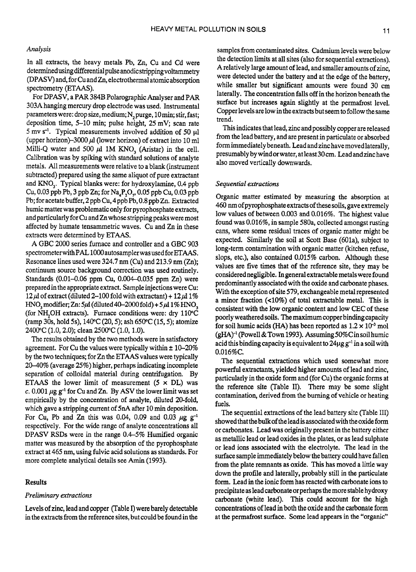# *Analysis*

In all extracts, the heavy metals Pb, Zn, *Cu* and Cd were determinedusing differential pulse anodicstripping voltammetry (DPASV) and, for *Cu* and Zn, electrothermal atomic absorption spectrometry (ETAAS).

For DPASV, a PAR 384B Polarographic Analyser and PAR 303A hanging mercury drop electrode was used. Instrumental parameters were: drop size, medium; N<sub>2</sub> purge, 10 min; stir, fast; deposition time, 5-10 min; pulse height, 25 mV; scan rate *5* mv **s-'.** Typical measurements involved addition of 50 p1 (upper horizon)-3000  $\mu$ l (lower horizon) of extract into 10 ml Milli-Q water and 500  $\mu$ l 1M KNO<sub>3</sub> (Aristar) in the cell. Calibration was by spiking with standard solutions of analyte metals. All measurements were relative to a blank (instrument subtracted) prepared using the same aliquot of pure extractant and KNO,. Typical blanks were: for hydroxylamine, 0.4 ppb Cu, 0.03 ppb Pb, 3 ppb Zn; for  $Na_A P_2O_n$ , 0.05 ppb Cu, 0.03 ppb Pb; for acetate buffer, 2ppb *Cu,* 4ppb Pb, 0.8 ppb Zn. Extracted humic matter was problematic only for pyrophosphate extracts, and particularly for *Cu* and Zn whose stripping peaks were most affected by humate tensammetric waves. *Cu* and Zn in these extracts were determined by ETAAS.

**A** GBC 2000 series furnace and controller and a GBC 903 spectrometerwithPAL **1OOOautosamplerwasusedforETAAS.**  Resonance lines used were 324.7 nm *(Cu)* and 213.9 nm (Zn); continuum source background correction was used routinely. Standards (0.01-0.06 ppm *Cu,* 0.004-0.035 ppm Zn) were prepared in the appropriate extract. Sample injections were Cu: 12 $\mu$ l of extract (diluted 2-100 fold with extractant) + 12 $\mu$ l 1% HNO<sub>2</sub> modifier; Zn:  $5\mu$ I (diluted 40–2000 fold) +  $5\mu$ I 1% HNO<sub>2</sub> (for NH<sub>2</sub>OH extracts). Furnace conditions were: dry 110°C (ramp 30s, hold **5s),** 140°C (20,5); ash 650°C (15,5); atomize 2400°C (1.0,2.0); clean 2500°C (1.0, 1.0).

The results obtained by the two methods were in satisfactory agreement. For *Cu* the values were typically within **t** 10-20% by the two techniques; for Zn the **ETAAS** values were typically 2040% (average 25%) higher, perhaps indicating incomplete separation of colloidal material during centrifugation. By ETAAS the lower limit of measurement  $(5 \times DL)$  was *c.*  $0.001 \mu g g^{-1}$  for Cu and Zn. By ASV the lower limit was set empirically by the concentration of analyte, diluted 20-fold, which gave a stripping current of **5nA** after 10 min deposition. For Cu, Pb and Zn this was 0.04, 0.09 and 0.03  $\mu$ g g<sup>-1</sup> respectively. For the wide range of analyte concentrations all DPASV **RSDs** were in the range 0.45% Humified organic matter was measured by the absorption of the pyrophosphate extract at 465 nm, using fulvic acid solutions as standards. For more complete analytical details see Amin (1993).

## **Results**

#### *Preliminary extractions*

Levels of zinc, lead and copper (Table I) were barely detectable in the extracts from the reference sites, but could be found in the

samples from contaminated sites. Cadmium levels were below the detection limits at all sites (also for sequential extractions). Arelatively large amount of lead, and smaller amounts of zinc, were detected under the battery and at the edge of the battery, while smaller but significant amounts were found 30 cm laterally. The concentration falls off in the horizon beneath the surface but increases again slightly at the permafrost level. Copper levels are low in the extracts but seem to follow the same trend.

This indicates that lead, zinc and possibly copper are released from the lead battery, and are present in particulate or absorbed form immediately beneath. Lead and zinc have movedlaterally, presumablybywindorwater, atleast30cm. Leadandzinchave also moved vertically downwards.

### *Sequential extractions*

Organic matter estimated by measuring the absorption at 460 nm of pyrophosphate extracts of these soils, gave extremely low values of between 0.003 and 0.016%. The highest value found was 0.016%, in sample 580a, collected amongst rusting cans, where some residual traces of organic matter might be expected. Similarly the soil at Scott Base (601a), subject to long-term contamination with organic matter (kitchen refuse, slops, etc.), also contained 0.015% carbon. Although these values are five times that of the reference site, they may be considered negligible. In general extractable metals were found predominantly associated with the oxide and carbonate phases. With the exception of site *579,* exchangeable metal represented a minor fraction (40%) of total extractable metal. This is consistent with the low organic content and low CEC of these poorly weathered soils. The maximum copper binding capacity for soil humic acids (HA) has been reported as  $1.2 \times 10^{-3}$  mol  $(gHA)^{-1}$  (Powell & Town 1993). Assuming 50%C in soil humic acid this binding capacity is equivalent to  $24\mu$ g  $g^{-1}$  in a soil with O.O16%C.

The sequential extractions which used somewhat more powerful extractants, yielded higher amounts of lead and zinc, particularly in the oxide form and (for Cu) the organic forms at the reference site (Table II). There may be some slight contamination, derived from the burning of vehicle or heating fuels.

The sequential extractions of the lead battery site (Table 111) showed that the bulkof theleadisassociatedwith the oxide form or carbonates. Lead was originally present in the battery either as metallic lead or lead oxides in the plates, or as lead sulphate or lead ions associated with the electrolyte. The lead in the surface sample immediately below the battery could have fallen from the plate remnants as oxide. **This** has moved a little way down the profile and laterally, probably still in the particulate form. Lead in the ionic form has reacted with carbonate ions to precipitate as lead carbonate or perhaps the more stable hydroxy carbonate (white lead). This could account for the high concentrations of lead in both the oxide and the carbonate **form**  at the permafrost surface. Some lead appears in the "organic"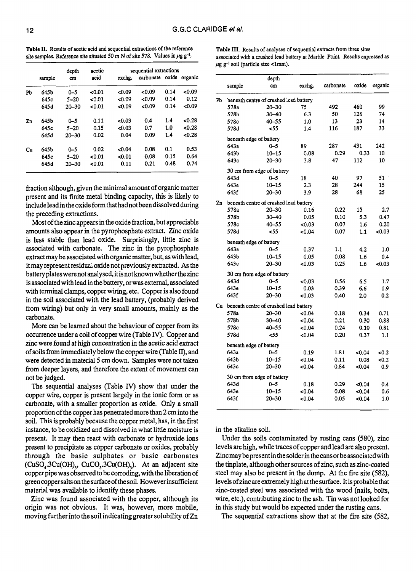| Table II. Results of acetic acid and sequential extractions of the reference                  |  |
|-----------------------------------------------------------------------------------------------|--|
| site samples. Reference site situated 50 m N of site 578. Values in $\mu$ g g <sup>-1</sup> . |  |

|    |        | depth     | acetic |        | sequential extractions |       |         |
|----|--------|-----------|--------|--------|------------------------|-------|---------|
|    | sample | cm        | acid   | exchg. | carbonate              | oxide | organic |
| Pb | 645b   | $0 - 5$   | < 0.01 | <0.09  | <0.09                  | 0.14  | 0.09    |
|    | 645c   | $5 - 20$  | < 0.01 | <0.09  | &0.09                  | 0.14  | 0.12    |
|    | 645d   | $20 - 30$ | < 0.01 | <0.09  | 0.09                   | 0.14  | <0.09   |
| Zn | 645b   | $0 - 5$   | 0.11   | <0.03  | 0.4                    | 1.4   | <0.28   |
|    | 645c   | $5 - 20$  | 0.15   | <0.03  | 0.7                    | 1.0   | < 0.28  |
|    | 645d   | $20 - 30$ | 0.02   | 0.04   | 0.09                   | 1.4   | < 0.28  |
| Cu | 645b   | $0 - 5$   | 0.02   | <0.04  | 0.08                   | 0.1   | 0.53    |
|    | 645c   | $5 - 20$  | <0.01  | 0.01   | 0.08                   | 0.15  | 0.64    |
|    | 645d   | $20 - 30$ | < 0.01 | 0.11   | 0.21                   | 0.48  | 0.74    |

fraction although, given the minimal amount of organic matter present and its finite metal binding capacity, this is likely to include lead in the oxide form that had not been dissolved during the preceding extractions.

Most of the zinc appears in the oxide fraction, but appreciable amounts also appear in the pyrophosphate extract. Zinc oxide **is** less stable than lead oxide. Surprisingly, little zinc is associated with carbonate. The zinc in the pyrophosphate extract may be associated with organic matter, but, **as** with lead, it may represent residual oxide not previously extracted. *As* the batteryplateswerenot analysed, **itisnotknownwhetherthezinc**  is associated with lead in the battey, or was external, associated with terminal clamps, copper wiring, etc. Copper is also found in the soil associated with the lead battery, (probably derived from wiring) but only in very small amounts, mainly as the carbonate.

More can be learned about the behaviour of copper from its occurrence under a coil of copper wire (Table JY). Copper and zinc were found at high concentration in the acetic acid extract of soils from immediately below the copper wire (Table 11), and were detected in material *5 cm* down. Samples were not taken from deeper layers, and therefore the extent of movement can not be judged.

The sequential analyses (Table IV) show that under the copper wire, copper is present largely in the ionic form or as carbonate, with a smaller proportion as oxide. Only a small proportion of the copper has penetrated more than **2** cm into the soil. This is probably because the copper metal, has, in the first instance, to be oxidized and dissolved in what little moisture is present. It may then react with carbonate or hydroxide ions present to precipitate **as** copper carbonate or oxides, probably through the basic sulphates or basic carbonates (CuSO<sub>4</sub>.3Cu(OH)<sub>1</sub>, CuCO<sub>3</sub>.3Cu(OH)<sub>1</sub>). At an adjacent site ccpper pipe was observed to be corroding, with the liberation of greencopper **salts** on the surface of the soil. However insufficient material was available to identify these phases.

Zinc was found associated with the copper, although its origin was not obvious. It was, however, more mobile, moving further into the soil indicating greater solubility of Zn

**Table 111.** Results **of** analyses of sequential extracts from three sites associated with a crushed lead battery at Marble Point. Results expressed as  $\mu$ g g<sup>-1</sup> soil (particle size <1mm).

|    |                                        | depth                                  |        |           |       |         |  |  |  |
|----|----------------------------------------|----------------------------------------|--------|-----------|-------|---------|--|--|--|
|    | sample                                 | cm                                     | exchg. | carbonate | oxide | organic |  |  |  |
| Pb | beneath centre of crushed lead battery |                                        |        |           |       |         |  |  |  |
|    | 578a                                   | $20 - 30$                              | 75     | 492       | 460   | 99      |  |  |  |
|    | 578b                                   | $30 - 40$                              | 6.3    | 50        | 126   | 74      |  |  |  |
|    | 578c                                   | $40 - 55$                              | 1.0    | 13        | 23    | 14      |  |  |  |
|    | 578d                                   | <55                                    | 1.4    | 116       | 187   | 33      |  |  |  |
|    |                                        | beneath edge of battery                |        |           |       |         |  |  |  |
|    | 643a                                   | $0 - 5$                                | 89     | 287       | 431   | 242     |  |  |  |
|    | 643b                                   | $10 - 15$                              | 0.08   | 0.29      | 0.33  | 10      |  |  |  |
|    | 643c                                   | $20 - 30$                              | 3.8    | 47        | 112   | 10      |  |  |  |
|    |                                        | 30 cm from edge of battery             |        |           |       |         |  |  |  |
|    | 643d                                   | $0 - 5$                                | 18     | 40        | 97    | 51      |  |  |  |
|    | 643e                                   | $10 - 15$                              | 2.3    | 28        | 244   | 15      |  |  |  |
|    | 643f                                   | $20 - 30$                              | 3.9    | 28        | 68    | 25      |  |  |  |
| Zn |                                        | beneath centre of crushed lead battery |        |           |       |         |  |  |  |
|    | 578a                                   | $20 - 30$                              | 0.16   | 0.22      | 15    | 2.7     |  |  |  |
|    | 578b                                   | $30 - 40$                              | 0.05   | 0.10      | 5.3   | 0.47    |  |  |  |
|    | 578c                                   | 40-55                                  | <0.03  | 0.07      | 1.6   | 0.20    |  |  |  |
|    | 578d                                   | 55                                     | <0.04  | 0.07      | 1.1   | <0.03   |  |  |  |
|    |                                        | beneath edge of battery                |        |           |       |         |  |  |  |
|    | 643a                                   | 0-5                                    | 0.37   | 1.1       | 4.2   | 1.0     |  |  |  |
|    | 643b                                   | $10 - 15$                              | 0.05   | 0.08      | 1.6   | 0.4     |  |  |  |
|    | 643c                                   | $20 - 30$                              | <0.03  | 0.25      | 1.6   | <0.03   |  |  |  |
|    | 30 cm from edge of battery             |                                        |        |           |       |         |  |  |  |
|    | 643d                                   | $0 - 5$                                | <0.03  | 0.56      | 6.5   | 1.7     |  |  |  |
|    | 643e                                   | $10 - 15$                              | 0.03   | 0.39      | 6.6   | 1.9     |  |  |  |
|    | 643f                                   | $20 - 30$                              | <0.03  | 0.40      | 2.0   | 0.2     |  |  |  |
| Cu | beneath centre of crushed lead battery |                                        |        |           |       |         |  |  |  |
|    | 578a                                   | $20 - 30$                              | <0.04  | 0.18      | 0.34  | 0.71    |  |  |  |
|    | 578b                                   | $30 - 40$                              | <0.04  | 0.21      | 0.30  | 0.88    |  |  |  |
|    | 578c                                   | $40 - 55$                              | <0.04  | 0.24      | 0.10  | 0.81    |  |  |  |
|    | 578d                                   | 55                                     | 0.04   | 0.20      | 0.37  | 1.1     |  |  |  |
|    | beneath edge of battery                |                                        |        |           |       |         |  |  |  |
|    | 643a                                   | $0 - 5$                                | 0.19   | 1.81      | <0.04 | <0.2    |  |  |  |
|    | 643b                                   | $10 - 15$                              | <0.04  | 0.11      | 0.08  | <0.2    |  |  |  |
|    | 643c                                   | $20 - 30$                              | <0.04  | 0.84      | <0.04 | 0.9     |  |  |  |
|    | 30 cm from edge of battery             |                                        |        |           |       |         |  |  |  |
|    | 643d                                   | $0 - 5$                                | 0.18   | 0.29      | <0.04 | 0.4     |  |  |  |
|    | 643e                                   | $10 - 15$                              | 0.04   | 0.08      | 0.04  | 0.6     |  |  |  |
|    | 643f                                   | 20-30                                  | 0.04   | 0.05      | <0.04 | 1.0     |  |  |  |
|    |                                        |                                        |        |           |       |         |  |  |  |

in the alkaline **soil.** 

Under the soils contaminated by rusting cans **(580),** zinc levels are high, while traces of copper and lead are also present. Zincmay bepresent in thesolder in thecansorbeassociatedwith the tinplate, although other sources of zinc, such as zinc-coated steel may also be present in the dump. At the fire site *(582),*  levels of zinc are extremely high at the surface. It is probable that zinc-coated steel was associated with the wood (nails, bolts, wire, etc.), contributing zinc to the ash. Tin was not looked for in this study but would be expected under the rusting cans.

The sequential extractions show that at the fire site (582,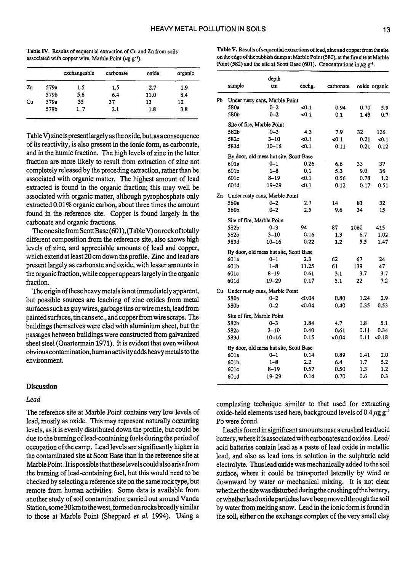Table IV. Results of sequential extraction **of Cu** and Zn from **soils**  associated with copper wire, Marble Point ( $\mu$ g g<sup>-1</sup>).

|    |      | exchangeable | carbonate | oxide | organic |
|----|------|--------------|-----------|-------|---------|
| Zn | 579a | 1.5          | 1.5       | 2.7   | 1.9     |
|    | 579b | 5.8          | 6.4       | 11.0  | 8.4     |
| Cu | 579a | 35           | 37        | 13    | 12      |
|    | 579b | 1. 7         | 2.1       | 1.8   | 3.8     |

Table V) zinc is present largely as the oxide, but, as a consequence of its reactivity, is also present in the ionic form, as carbonate, and in the humic fraction. The high levels of zinc in the latter fraction are more likely to result from extraction of zinc not completely released by the preceding extraction, rather than be associated with organic matter. The highest amount of lead extracted is found in the organic fraction; this may well be associated with organic matter, although pyrophosphate only extracted 0.01% organic carbon, about three times the amount found in the reference site. Copper is found largely in the carbonate and organic fractions.

The one site from Scott Base (601), (Table V) on rock of totally different composition from the reference site, also shows high levels of zinc, and appreciable amounts of lead and copper, which extend at least **20** cm down the profile. Zinc and lead are present largely as carbonate and oxide, with lesser amounts in the organic fraction, while copper appears largely in the organic fraction.

The origin of these heavy metals is not immediately apparent, but possible sources are leaching of zinc oxides from metal surfaces such as guy wires, garbage tins or wire mesh, lead from painted surfaces, tin cans etc., and copper from wire scraps. The buildings themselves were clad with aluminium sheet, but the passages between buildings were constructed from galvanized sheet steel (Quartermain 1971). It is evident that even without obvious contamination, human activity adds heavy metals to the environment.

# **Discussion**

### *Lead*

The reference site at Marble Point contains very low levels of lead, mostly as oxide. This may represent naturally occurring levels, as it is evenly distributed down the profile, but could be due to the burning of lead-containing fuels during the period of occupation of the camp. Lead levels are significantly higher in the contaminated site at Scott Base than in the reference site at Marble Point. It is possible that theselevelscouldalso arise from the burning of lead-containing fuel, but this would need to be checked by selecting a reference site on the same rock type, but remote from human activities. Some data is available from another study of soil contamination carried out around Vanda Station, some **30km** to the west, formed on rocks broadly similar to those at Marble Point (Sheppard *et* **a!.** 1994). Using a

| Table V. Results of sequential extractions of lead, zinc and copper from the site         |
|-------------------------------------------------------------------------------------------|
| on the edge of the rubbish dump at Marble Point (580), at the fire site at Marble         |
| Point (582) and the site at Scott Base (601). Concentrations in $\mu$ g g <sup>-1</sup> . |

|    | sample                                 | depth<br>$cm$                          | exchg.  | carbonate |      | oxide organic |  |  |
|----|----------------------------------------|----------------------------------------|---------|-----------|------|---------------|--|--|
| Pb |                                        | Under rusty cans, Marble Point         |         |           |      |               |  |  |
|    | 580a                                   | $0 - 2$                                | $0.1$   | 0.94      | 0.70 | 5.9           |  |  |
|    | 580b                                   | $0 - 2$                                | $0.1$   | 0.1       | 1.43 | 0.7           |  |  |
|    |                                        | Site of fire, Marble Point             |         |           |      |               |  |  |
|    | 582b                                   | $0 - 3$                                | 4.3     | 7.9       | 32   | 126           |  |  |
|    | 582c                                   | $3 - 10$                               | $0.1$   | < 0.1     | 0.21 | < 0.1         |  |  |
|    | 583d                                   | 10–16                                  | <0.1    | 0.11      | 0.21 | 0.12          |  |  |
|    |                                        | By door, old mess hut site, Scott Base |         |           |      |               |  |  |
|    | 601a                                   | $0 - 1$                                | 0.26    | 6.6       | 33   | 37            |  |  |
|    | 601b                                   | $1 - 8$                                | 0.1     | 5.3       | 9.0  | 36            |  |  |
|    | 601c                                   | 8–19                                   | <0.1    | 0.56      | 0.78 | 1.2           |  |  |
|    | 601d                                   | $19 - 29$                              | <0.1    | 0.12      | 0.17 | 0.51          |  |  |
| Zn |                                        | Under rusty cans, Marble Point         |         |           |      |               |  |  |
|    | 580a                                   | $0 - 2$                                | 2.7     | 14        | 81   | 32            |  |  |
|    | 580b                                   | $0 - 2$                                | 2.5     | 9.6       | 34   | 15            |  |  |
|    | Site of fire, Marble Point             |                                        |         |           |      |               |  |  |
|    | 582b                                   | $0 - 3$                                | 94      | 87        | 1080 | 415           |  |  |
|    | 582c                                   | $3 - 10$                               | 0.16    | 1.3       | 6.7  | 1.02          |  |  |
|    | 583d                                   | $10 - 16$                              | 0.22    | 1.2       | 5.5  | 1.47          |  |  |
|    | By door, old mess hut site, Scott Base |                                        |         |           |      |               |  |  |
|    | 601a                                   | $0 - 1$                                | 2.3     | 62        | 67   | 24            |  |  |
|    | 601b                                   | $1 - 8$                                | 11.25   | 61        | 139  | 47            |  |  |
|    | 601c                                   | 8–19                                   | 0.61    | 3.1       | 3.7  | 3.7           |  |  |
|    | 601d                                   | 19–29                                  | 0.17    | 5.1       | 22   | 7.2           |  |  |
| Cu |                                        | Under rusty cans, Marble Point         |         |           |      |               |  |  |
|    | 580a                                   | $0 - 2$                                | <0.04   | 0.80      | 1.24 | 2.9           |  |  |
|    | 580b                                   | $0 - 2$                                | <0.04   | 0.40      | 0.35 | 0.53          |  |  |
|    | Site of fire, Marble Point             |                                        |         |           |      |               |  |  |
|    | 582b                                   | $0 - 3$                                | 1.84    | 4.7       | 1.8  | 5.1           |  |  |
|    | 582c                                   | $3 - 10$                               | 0.40    | 0.61      | 0.11 | 0.34          |  |  |
|    | 583d                                   | $10 - 16$                              | 0.15    | <0.04     | 0.11 | 0.18          |  |  |
|    | By door, old mess hut site, Scott Base |                                        |         |           |      |               |  |  |
|    | 601a                                   | $0 - 1$                                | 0.14    | 0.89      | 0.41 | 2.0           |  |  |
|    | 601b                                   | $1 - 8$                                | $2.2\,$ | 6.4       | 1.7  | 5.2           |  |  |
|    | 601c                                   | 8–19                                   | 0.57    | 0.50      | 1.3  | 1.2           |  |  |
|    | 601d                                   | 19–29                                  | 0.14    | 0.70      | 0.6  | 0.3           |  |  |
|    |                                        |                                        |         |           |      |               |  |  |

complexing technique similar to that used for extracting oxide-held elements used here, background levels of  $0.4 \mu g g^{-1}$ Pb were found.

Lead is found in significant amounts near a crushed lead/acid battery, where it is associated with carbonates and oxides. Lead/ acid batteries contain lead as a paste of lead oxide in metallic lead, and also as lead ions in solution in the sulphuric acid electrolyte. Thus lead oxide was mechanically added to the soil surface, where it could be transported laterally by wind or downward by water or mechanical mixing. It is not clear whetherthe **sitewasdisturbedduringthecrushingofthebattery,**  orwhether leadoxide particles have beenmoved through the soil by water from melting snow. Lead in the ionic form is found in the soil, either on the exchange complex of the very small clay